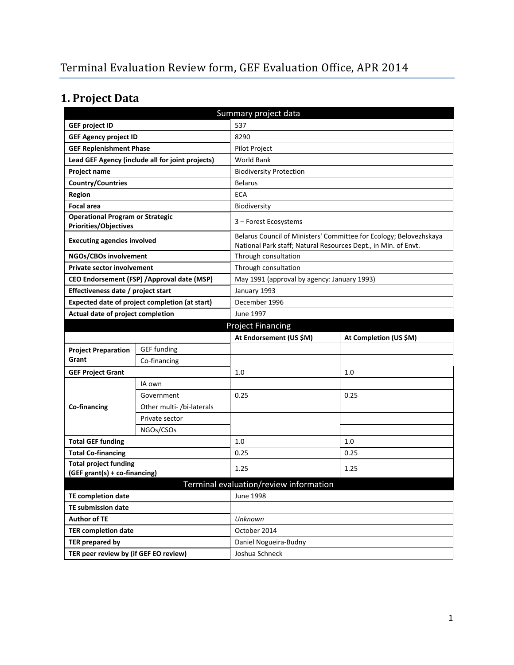# **1. Project Data**

| Summary project data                                             |                                                  |                                                                |                                                                    |  |  |
|------------------------------------------------------------------|--------------------------------------------------|----------------------------------------------------------------|--------------------------------------------------------------------|--|--|
| <b>GEF project ID</b>                                            |                                                  | 537                                                            |                                                                    |  |  |
| <b>GEF Agency project ID</b>                                     |                                                  | 8290                                                           |                                                                    |  |  |
| <b>GEF Replenishment Phase</b>                                   |                                                  | Pilot Project                                                  |                                                                    |  |  |
|                                                                  | Lead GEF Agency (include all for joint projects) | World Bank                                                     |                                                                    |  |  |
| Project name                                                     |                                                  | <b>Biodiversity Protection</b>                                 |                                                                    |  |  |
| <b>Country/Countries</b>                                         |                                                  | <b>Belarus</b>                                                 |                                                                    |  |  |
| Region                                                           |                                                  |                                                                | <b>ECA</b>                                                         |  |  |
| <b>Focal area</b>                                                |                                                  | Biodiversity                                                   |                                                                    |  |  |
| <b>Operational Program or Strategic</b><br>Priorities/Objectives |                                                  | 3 - Forest Ecosystems                                          |                                                                    |  |  |
| <b>Executing agencies involved</b>                               |                                                  | National Park staff; Natural Resources Dept., in Min. of Envt. | Belarus Council of Ministers' Committee for Ecology; Belovezhskaya |  |  |
| NGOs/CBOs involvement                                            |                                                  | Through consultation                                           |                                                                    |  |  |
| <b>Private sector involvement</b>                                |                                                  | Through consultation                                           |                                                                    |  |  |
| CEO Endorsement (FSP) / Approval date (MSP)                      |                                                  | May 1991 (approval by agency: January 1993)                    |                                                                    |  |  |
| Effectiveness date / project start                               |                                                  | January 1993                                                   |                                                                    |  |  |
| Expected date of project completion (at start)                   |                                                  | December 1996                                                  |                                                                    |  |  |
| Actual date of project completion                                |                                                  | June 1997                                                      |                                                                    |  |  |
| <b>Project Financing</b>                                         |                                                  |                                                                |                                                                    |  |  |
|                                                                  |                                                  | At Endorsement (US \$M)                                        | At Completion (US \$M)                                             |  |  |
| <b>Project Preparation</b>                                       | <b>GEF funding</b>                               |                                                                |                                                                    |  |  |
| Grant                                                            | Co-financing                                     |                                                                |                                                                    |  |  |
| <b>GEF Project Grant</b>                                         |                                                  | 1.0                                                            | 1.0                                                                |  |  |
|                                                                  | IA own                                           |                                                                |                                                                    |  |  |
|                                                                  | Government                                       | 0.25                                                           | 0.25                                                               |  |  |
| Co-financing                                                     | Other multi- /bi-laterals                        |                                                                |                                                                    |  |  |
|                                                                  | Private sector                                   |                                                                |                                                                    |  |  |
|                                                                  | NGOs/CSOs                                        |                                                                |                                                                    |  |  |
| <b>Total GEF funding</b>                                         |                                                  | 1.0                                                            | 1.0                                                                |  |  |
| <b>Total Co-financing</b>                                        |                                                  | 0.25                                                           | 0.25                                                               |  |  |
| <b>Total project funding</b>                                     |                                                  | 1.25                                                           | 1.25                                                               |  |  |
| (GEF grant(s) + co-financing)                                    |                                                  |                                                                |                                                                    |  |  |
|                                                                  |                                                  | Terminal evaluation/review information                         |                                                                    |  |  |
| <b>TE completion date</b>                                        |                                                  | June 1998                                                      |                                                                    |  |  |
| <b>TE submission date</b>                                        |                                                  |                                                                |                                                                    |  |  |
| <b>Author of TE</b>                                              |                                                  | Unknown                                                        |                                                                    |  |  |
| <b>TER completion date</b>                                       |                                                  | October 2014                                                   |                                                                    |  |  |
| <b>TER prepared by</b>                                           |                                                  | Daniel Nogueira-Budny                                          |                                                                    |  |  |
| TER peer review by (if GEF EO review)                            |                                                  | Joshua Schneck                                                 |                                                                    |  |  |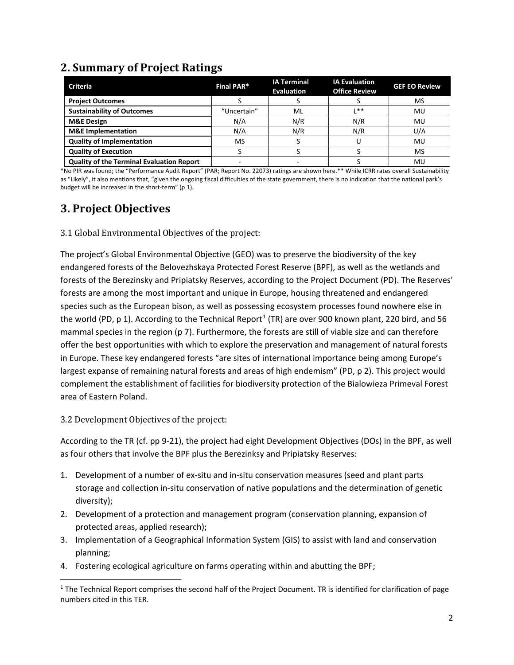## **2. Summary of Project Ratings**

| <b>Criteria</b>                                  | <b>Final PAR*</b>        | <b>IA Terminal</b><br><b>Evaluation</b> | <b>IA Evaluation</b><br><b>Office Review</b> | <b>GEF EO Review</b> |
|--------------------------------------------------|--------------------------|-----------------------------------------|----------------------------------------------|----------------------|
| <b>Project Outcomes</b>                          |                          |                                         |                                              | MS                   |
| <b>Sustainability of Outcomes</b>                | "Uncertain"              | ML                                      | **                                           | MU                   |
| <b>M&amp;E Design</b>                            | N/A                      | N/R                                     | N/R                                          | MU                   |
| <b>M&amp;E</b> Implementation                    | N/A                      | N/R                                     | N/R                                          | U/A                  |
| <b>Quality of Implementation</b>                 | MS                       |                                         |                                              | MU                   |
| <b>Quality of Execution</b>                      |                          |                                         |                                              | MS                   |
| <b>Quality of the Terminal Evaluation Report</b> | $\overline{\phantom{a}}$ |                                         |                                              | MU                   |

\*No PIR was found; the "Performance Audit Report" (PAR; Report No. 22073) ratings are shown here.\*\* While ICRR rates overall Sustainability as "Likely", it also mentions that, "given the ongoing fiscal difficulties of the state government, there is no indication that the national park's budget will be increased in the short-term" (p 1).

# **3. Project Objectives**

3.1 Global Environmental Objectives of the project:

The project's Global Environmental Objective (GEO) was to preserve the biodiversity of the key endangered forests of the Belovezhskaya Protected Forest Reserve (BPF), as well as the wetlands and forests of the Berezinsky and Pripiatsky Reserves, according to the Project Document (PD). The Reserves' forests are among the most important and unique in Europe, housing threatened and endangered species such as the European bison, as well as possessing ecosystem processes found nowhere else in the world (PD, p [1](#page-1-0)). According to the Technical Report<sup>1</sup> (TR) are over 900 known plant, 220 bird, and 56 mammal species in the region (p 7). Furthermore, the forests are still of viable size and can therefore offer the best opportunities with which to explore the preservation and management of natural forests in Europe. These key endangered forests "are sites of international importance being among Europe's largest expanse of remaining natural forests and areas of high endemism" (PD, p 2). This project would complement the establishment of facilities for biodiversity protection of the Bialowieza Primeval Forest area of Eastern Poland.

3.2 Development Objectives of the project:

According to the TR (cf. pp 9-21), the project had eight Development Objectives (DOs) in the BPF, as well as four others that involve the BPF plus the Berezinksy and Pripiatsky Reserves:

- 1. Development of a number of ex-situ and in-situ conservation measures (seed and plant parts storage and collection in-situ conservation of native populations and the determination of genetic diversity);
- 2. Development of a protection and management program (conservation planning, expansion of protected areas, applied research);
- 3. Implementation of a Geographical Information System (GIS) to assist with land and conservation planning;
- 4. Fostering ecological agriculture on farms operating within and abutting the BPF;

<span id="page-1-0"></span> $\overline{a}$  $1$  The Technical Report comprises the second half of the Project Document. TR is identified for clarification of page numbers cited in this TER.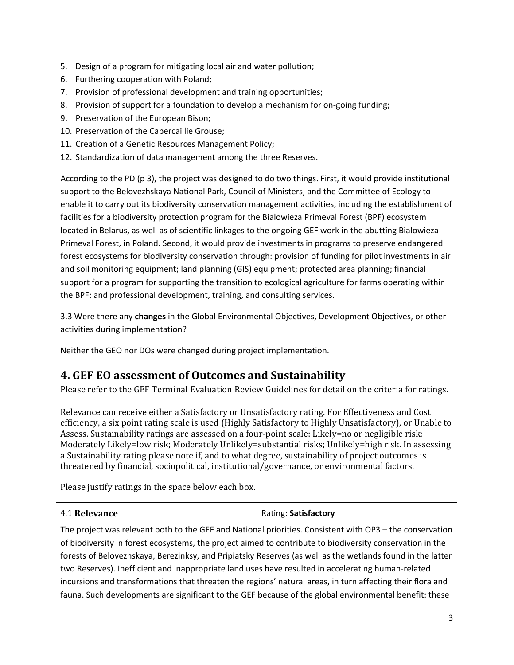- 5. Design of a program for mitigating local air and water pollution;
- 6. Furthering cooperation with Poland;
- 7. Provision of professional development and training opportunities;
- 8. Provision of support for a foundation to develop a mechanism for on-going funding;
- 9. Preservation of the European Bison;
- 10. Preservation of the Capercaillie Grouse;
- 11. Creation of a Genetic Resources Management Policy;
- 12. Standardization of data management among the three Reserves.

According to the PD (p 3), the project was designed to do two things. First, it would provide institutional support to the Belovezhskaya National Park, Council of Ministers, and the Committee of Ecology to enable it to carry out its biodiversity conservation management activities, including the establishment of facilities for a biodiversity protection program for the Bialowieza Primeval Forest (BPF) ecosystem located in Belarus, as well as of scientific linkages to the ongoing GEF work in the abutting Bialowieza Primeval Forest, in Poland. Second, it would provide investments in programs to preserve endangered forest ecosystems for biodiversity conservation through: provision of funding for pilot investments in air and soil monitoring equipment; land planning (GIS) equipment; protected area planning; financial support for a program for supporting the transition to ecological agriculture for farms operating within the BPF; and professional development, training, and consulting services.

3.3 Were there any **changes** in the Global Environmental Objectives, Development Objectives, or other activities during implementation?

Neither the GEO nor DOs were changed during project implementation.

#### **4. GEF EO assessment of Outcomes and Sustainability**

Please refer to the GEF Terminal Evaluation Review Guidelines for detail on the criteria for ratings.

Relevance can receive either a Satisfactory or Unsatisfactory rating. For Effectiveness and Cost efficiency, a six point rating scale is used (Highly Satisfactory to Highly Unsatisfactory), or Unable to Assess. Sustainability ratings are assessed on a four-point scale: Likely=no or negligible risk; Moderately Likely=low risk; Moderately Unlikely=substantial risks; Unlikely=high risk. In assessing a Sustainability rating please note if, and to what degree, sustainability of project outcomes is threatened by financial, sociopolitical, institutional/governance, or environmental factors.

Please justify ratings in the space below each box.

| 4.1 Relevance | Rating: Satisfactory |
|---------------|----------------------|
|---------------|----------------------|

The project was relevant both to the GEF and National priorities. Consistent with OP3 – the conservation of biodiversity in forest ecosystems, the project aimed to contribute to biodiversity conservation in the forests of Belovezhskaya, Berezinksy, and Pripiatsky Reserves (as well as the wetlands found in the latter two Reserves). Inefficient and inappropriate land uses have resulted in accelerating human-related incursions and transformations that threaten the regions' natural areas, in turn affecting their flora and fauna. Such developments are significant to the GEF because of the global environmental benefit: these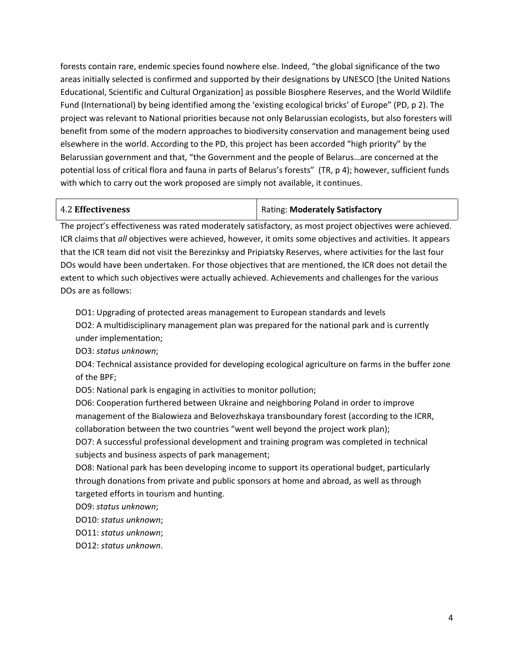forests contain rare, endemic species found nowhere else. Indeed, "the global significance of the two areas initially selected is confirmed and supported by their designations by UNESCO [the United Nations Educational, Scientific and Cultural Organization] as possible Biosphere Reserves, and the World Wildlife Fund (International) by being identified among the 'existing ecological bricks' of Europe" (PD, p 2). The project was relevant to National priorities because not only Belarussian ecologists, but also foresters will benefit from some of the modern approaches to biodiversity conservation and management being used elsewhere in the world. According to the PD, this project has been accorded "high priority" by the Belarussian government and that, "the Government and the people of Belarus…are concerned at the potential loss of critical flora and fauna in parts of Belarus's forests" (TR, p 4); however, sufficient funds with which to carry out the work proposed are simply not available, it continues.

#### 4.2 **Effectiveness** Rating: **Moderately Satisfactory**

The project's effectiveness was rated moderately satisfactory, as most project objectives were achieved. ICR claims that *all* objectives were achieved, however, it omits some objectives and activities. It appears that the ICR team did not visit the Berezinksy and Pripiatsky Reserves, where activities for the last four DOs would have been undertaken. For those objectives that are mentioned, the ICR does not detail the extent to which such objectives were actually achieved. Achievements and challenges for the various DOs are as follows:

DO1: Upgrading of protected areas management to European standards and levels DO2: A multidisciplinary management plan was prepared for the national park and is currently under implementation;

DO3: *status unknown*;

DO4: Technical assistance provided for developing ecological agriculture on farms in the buffer zone of the BPF;

DO5: National park is engaging in activities to monitor pollution;

DO6: Cooperation furthered between Ukraine and neighboring Poland in order to improve management of the Bialowieza and Belovezhskaya transboundary forest (according to the ICRR, collaboration between the two countries "went well beyond the project work plan);

DO7: A successful professional development and training program was completed in technical subjects and business aspects of park management;

DO8: National park has been developing income to support its operational budget, particularly through donations from private and public sponsors at home and abroad, as well as through targeted efforts in tourism and hunting.

DO9: *status unknown*;

DO10: *status unknown*;

DO11: *status unknown*;

DO12: *status unknown*.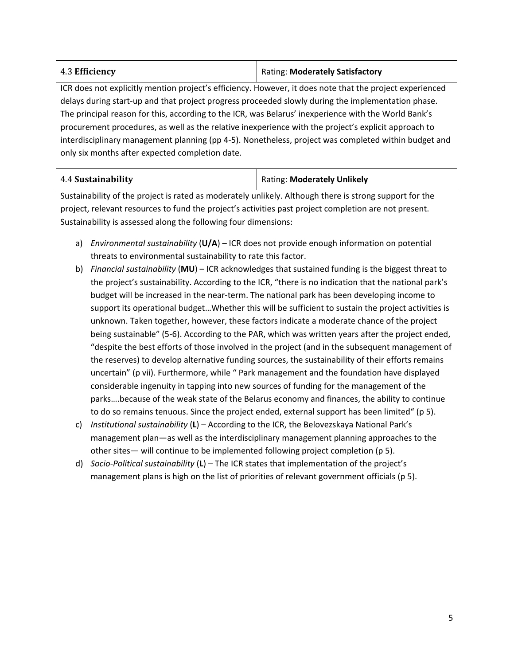| 4.3 Efficiency | <b>Rating: Moderately Satisfactory</b> |
|----------------|----------------------------------------|
|----------------|----------------------------------------|

ICR does not explicitly mention project's efficiency. However, it does note that the project experienced delays during start-up and that project progress proceeded slowly during the implementation phase. The principal reason for this, according to the ICR, was Belarus' inexperience with the World Bank's procurement procedures, as well as the relative inexperience with the project's explicit approach to interdisciplinary management planning (pp 4-5). Nonetheless, project was completed within budget and only six months after expected completion date.

| 4.4 Sustainability | <b>Rating: Moderately Unlikely</b> |
|--------------------|------------------------------------|
|--------------------|------------------------------------|

Sustainability of the project is rated as moderately unlikely. Although there is strong support for the project, relevant resources to fund the project's activities past project completion are not present. Sustainability is assessed along the following four dimensions:

- a) *Environmental sustainability* (**U/A**) ICR does not provide enough information on potential threats to environmental sustainability to rate this factor.
- b) *Financial sustainability* (**MU**) ICR acknowledges that sustained funding is the biggest threat to the project's sustainability. According to the ICR, "there is no indication that the national park's budget will be increased in the near-term. The national park has been developing income to support its operational budget…Whether this will be sufficient to sustain the project activities is unknown. Taken together, however, these factors indicate a moderate chance of the project being sustainable" (5-6). According to the PAR, which was written years after the project ended, "despite the best efforts of those involved in the project (and in the subsequent management of the reserves) to develop alternative funding sources, the sustainability of their efforts remains uncertain" (p vii). Furthermore, while " Park management and the foundation have displayed considerable ingenuity in tapping into new sources of funding for the management of the parks….because of the weak state of the Belarus economy and finances, the ability to continue to do so remains tenuous. Since the project ended, external support has been limited" (p 5).
- c) *Institutional sustainability* (**L**) According to the ICR, the Belovezskaya National Park's management plan—as well as the interdisciplinary management planning approaches to the other sites— will continue to be implemented following project completion (p 5).
- d) *Socio-Political sustainability* (**L**) The ICR states that implementation of the project's management plans is high on the list of priorities of relevant government officials (p 5).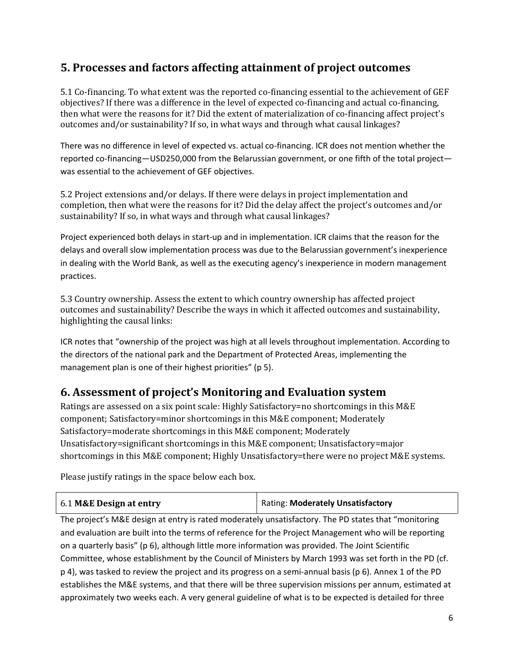### **5. Processes and factors affecting attainment of project outcomes**

5.1 Co-financing. To what extent was the reported co-financing essential to the achievement of GEF objectives? If there was a difference in the level of expected co-financing and actual co-financing, then what were the reasons for it? Did the extent of materialization of co-financing affect project's outcomes and/or sustainability? If so, in what ways and through what causal linkages?

There was no difference in level of expected vs. actual co-financing. ICR does not mention whether the reported co-financing—USD250,000 from the Belarussian government, or one fifth of the total project was essential to the achievement of GEF objectives.

5.2 Project extensions and/or delays. If there were delays in project implementation and completion, then what were the reasons for it? Did the delay affect the project's outcomes and/or sustainability? If so, in what ways and through what causal linkages?

Project experienced both delays in start-up and in implementation. ICR claims that the reason for the delays and overall slow implementation process was due to the Belarussian government's inexperience in dealing with the World Bank, as well as the executing agency's inexperience in modern management practices.

5.3 Country ownership. Assess the extent to which country ownership has affected project outcomes and sustainability? Describe the ways in which it affected outcomes and sustainability, highlighting the causal links:

ICR notes that "ownership of the project was high at all levels throughout implementation. According to the directors of the national park and the Department of Protected Areas, implementing the management plan is one of their highest priorities" (p 5).

#### **6. Assessment of project's Monitoring and Evaluation system**

Ratings are assessed on a six point scale: Highly Satisfactory=no shortcomings in this M&E component; Satisfactory=minor shortcomings in this M&E component; Moderately Satisfactory=moderate shortcomings in this M&E component; Moderately Unsatisfactory=significant shortcomings in this M&E component; Unsatisfactory=major shortcomings in this M&E component; Highly Unsatisfactory=there were no project M&E systems.

Please justify ratings in the space below each box.

| 6.1 M&E Design at entry | Rating: Moderately Unsatisfactory |
|-------------------------|-----------------------------------|
|                         |                                   |

The project's M&E design at entry is rated moderately unsatisfactory. The PD states that "monitoring and evaluation are built into the terms of reference for the Project Management who will be reporting on a quarterly basis" (p 6), although little more information was provided. The Joint Scientific Committee, whose establishment by the Council of Ministers by March 1993 was set forth in the PD (cf. p 4), was tasked to review the project and its progress on a semi-annual basis (p 6). Annex 1 of the PD establishes the M&E systems, and that there will be three supervision missions per annum, estimated at approximately two weeks each. A very general guideline of what is to be expected is detailed for three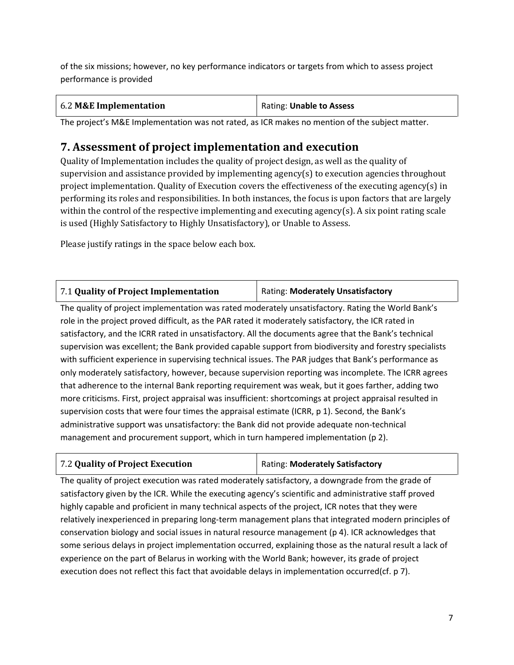of the six missions; however, no key performance indicators or targets from which to assess project performance is provided

| 6.2 M&E Implementation | Rating: Unable to Assess |
|------------------------|--------------------------|
|------------------------|--------------------------|

The project's M&E Implementation was not rated, as ICR makes no mention of the subject matter.

# **7. Assessment of project implementation and execution**

Quality of Implementation includes the quality of project design, as well as the quality of supervision and assistance provided by implementing agency(s) to execution agencies throughout project implementation. Quality of Execution covers the effectiveness of the executing agency(s) in performing its roles and responsibilities. In both instances, the focus is upon factors that are largely within the control of the respective implementing and executing agency(s). A six point rating scale is used (Highly Satisfactory to Highly Unsatisfactory), or Unable to Assess.

Please justify ratings in the space below each box.

| 7.1 Quality of Project Implementation | Rating: Moderately Unsatisfactory |
|---------------------------------------|-----------------------------------|
|---------------------------------------|-----------------------------------|

The quality of project implementation was rated moderately unsatisfactory. Rating the World Bank's role in the project proved difficult, as the PAR rated it moderately satisfactory, the ICR rated in satisfactory, and the ICRR rated in unsatisfactory. All the documents agree that the Bank's technical supervision was excellent; the Bank provided capable support from biodiversity and forestry specialists with sufficient experience in supervising technical issues. The PAR judges that Bank's performance as only moderately satisfactory, however, because supervision reporting was incomplete. The ICRR agrees that adherence to the internal Bank reporting requirement was weak, but it goes farther, adding two more criticisms. First, project appraisal was insufficient: shortcomings at project appraisal resulted in supervision costs that were four times the appraisal estimate (ICRR, p 1). Second, the Bank's administrative support was unsatisfactory: the Bank did not provide adequate non-technical management and procurement support, which in turn hampered implementation (p 2).

| Rating: Moderately Satisfactory<br>7.2 Quality of Project Execution |
|---------------------------------------------------------------------|
|---------------------------------------------------------------------|

The quality of project execution was rated moderately satisfactory, a downgrade from the grade of satisfactory given by the ICR. While the executing agency's scientific and administrative staff proved highly capable and proficient in many technical aspects of the project, ICR notes that they were relatively inexperienced in preparing long-term management plans that integrated modern principles of conservation biology and social issues in natural resource management (p 4). ICR acknowledges that some serious delays in project implementation occurred, explaining those as the natural result a lack of experience on the part of Belarus in working with the World Bank; however, its grade of project execution does not reflect this fact that avoidable delays in implementation occurred(cf. p 7).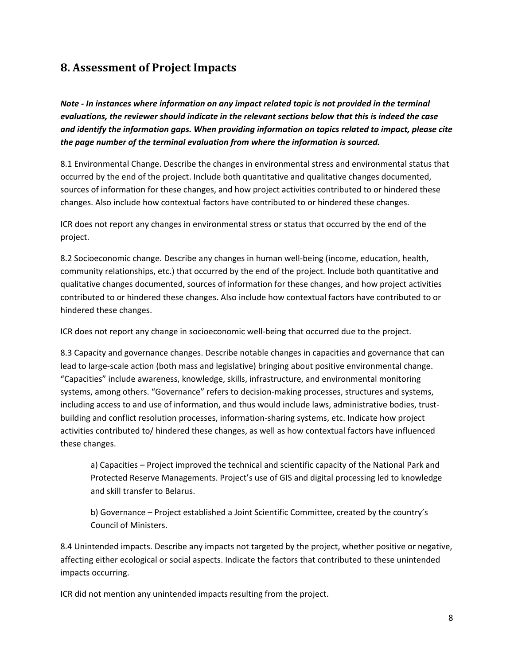#### **8. Assessment of Project Impacts**

*Note - In instances where information on any impact related topic is not provided in the terminal evaluations, the reviewer should indicate in the relevant sections below that this is indeed the case and identify the information gaps. When providing information on topics related to impact, please cite the page number of the terminal evaluation from where the information is sourced.* 

8.1 Environmental Change. Describe the changes in environmental stress and environmental status that occurred by the end of the project. Include both quantitative and qualitative changes documented, sources of information for these changes, and how project activities contributed to or hindered these changes. Also include how contextual factors have contributed to or hindered these changes.

ICR does not report any changes in environmental stress or status that occurred by the end of the project.

8.2 Socioeconomic change. Describe any changes in human well-being (income, education, health, community relationships, etc.) that occurred by the end of the project. Include both quantitative and qualitative changes documented, sources of information for these changes, and how project activities contributed to or hindered these changes. Also include how contextual factors have contributed to or hindered these changes.

ICR does not report any change in socioeconomic well-being that occurred due to the project.

8.3 Capacity and governance changes. Describe notable changes in capacities and governance that can lead to large-scale action (both mass and legislative) bringing about positive environmental change. "Capacities" include awareness, knowledge, skills, infrastructure, and environmental monitoring systems, among others. "Governance" refers to decision-making processes, structures and systems, including access to and use of information, and thus would include laws, administrative bodies, trustbuilding and conflict resolution processes, information-sharing systems, etc. Indicate how project activities contributed to/ hindered these changes, as well as how contextual factors have influenced these changes.

a) Capacities – Project improved the technical and scientific capacity of the National Park and Protected Reserve Managements. Project's use of GIS and digital processing led to knowledge and skill transfer to Belarus.

b) Governance – Project established a Joint Scientific Committee, created by the country's Council of Ministers.

8.4 Unintended impacts. Describe any impacts not targeted by the project, whether positive or negative, affecting either ecological or social aspects. Indicate the factors that contributed to these unintended impacts occurring.

ICR did not mention any unintended impacts resulting from the project.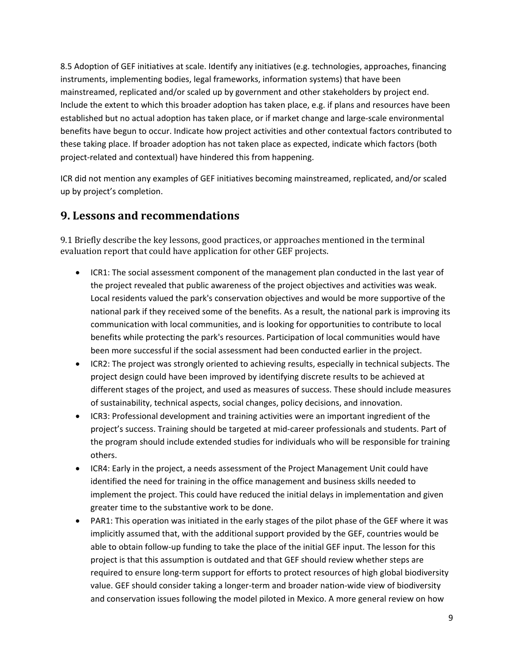8.5 Adoption of GEF initiatives at scale. Identify any initiatives (e.g. technologies, approaches, financing instruments, implementing bodies, legal frameworks, information systems) that have been mainstreamed, replicated and/or scaled up by government and other stakeholders by project end. Include the extent to which this broader adoption has taken place, e.g. if plans and resources have been established but no actual adoption has taken place, or if market change and large-scale environmental benefits have begun to occur. Indicate how project activities and other contextual factors contributed to these taking place. If broader adoption has not taken place as expected, indicate which factors (both project-related and contextual) have hindered this from happening.

ICR did not mention any examples of GEF initiatives becoming mainstreamed, replicated, and/or scaled up by project's completion.

## **9. Lessons and recommendations**

9.1 Briefly describe the key lessons, good practices, or approaches mentioned in the terminal evaluation report that could have application for other GEF projects.

- ICR1: The social assessment component of the management plan conducted in the last year of the project revealed that public awareness of the project objectives and activities was weak. Local residents valued the park's conservation objectives and would be more supportive of the national park if they received some of the benefits. As a result, the national park is improving its communication with local communities, and is looking for opportunities to contribute to local benefits while protecting the park's resources. Participation of local communities would have been more successful if the social assessment had been conducted earlier in the project.
- ICR2: The project was strongly oriented to achieving results, especially in technical subjects. The project design could have been improved by identifying discrete results to be achieved at different stages of the project, and used as measures of success. These should include measures of sustainability, technical aspects, social changes, policy decisions, and innovation.
- ICR3: Professional development and training activities were an important ingredient of the project's success. Training should be targeted at mid-career professionals and students. Part of the program should include extended studies for individuals who will be responsible for training others.
- ICR4: Early in the project, a needs assessment of the Project Management Unit could have identified the need for training in the office management and business skills needed to implement the project. This could have reduced the initial delays in implementation and given greater time to the substantive work to be done.
- PAR1: This operation was initiated in the early stages of the pilot phase of the GEF where it was implicitly assumed that, with the additional support provided by the GEF, countries would be able to obtain follow-up funding to take the place of the initial GEF input. The lesson for this project is that this assumption is outdated and that GEF should review whether steps are required to ensure long-term support for efforts to protect resources of high global biodiversity value. GEF should consider taking a longer-term and broader nation-wide view of biodiversity and conservation issues following the model piloted in Mexico. A more general review on how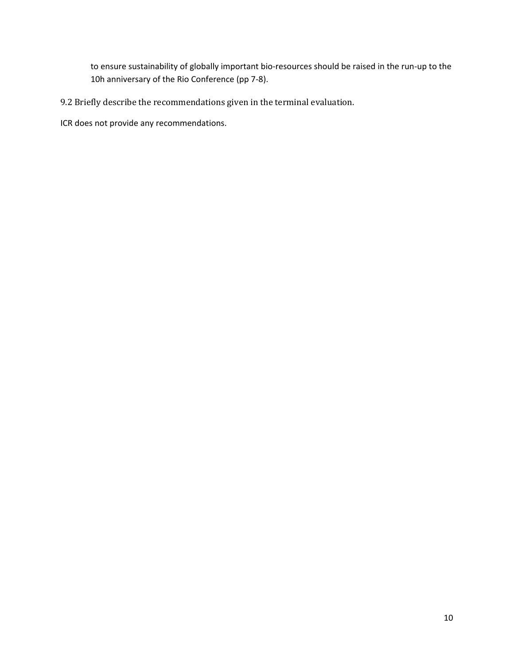to ensure sustainability of globally important bio-resources should be raised in the run-up to the 10h anniversary of the Rio Conference (pp 7-8).

- 9.2 Briefly describe the recommendations given in the terminal evaluation.
- ICR does not provide any recommendations.